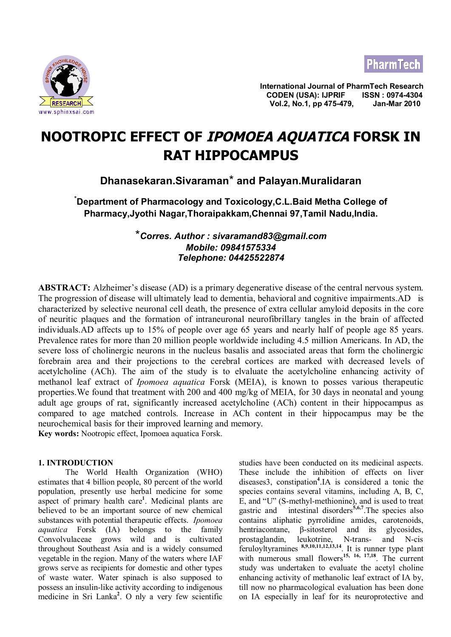



**International Journal of PharmTech Research CODEN (USA): IJPRIF ISSN : 0974-4304 Vol.2, No.1, pp 475-479, Jan-Mar 2010**

# **NOOTROPIC EFFECT OF IPOMOEA AQUATICA FORSK IN RAT HIPPOCAMPUS**

# **Dhanasekaran.Sivaraman**\* **and Palayan.Muralidaran**

**\*Department of Pharmacology and Toxicology,C.L.Baid Metha College of Pharmacy,Jyothi Nagar,Thoraipakkam,Chennai 97,Tamil Nadu,India.**

> \**Corres. Author : [sivaramand83@gmail.com](mailto:sivaramand83@gmail.com) Mobile: 09841575334 Telephone: 04425522874*

**ABSTRACT:** Alzheimer's disease (AD) is a primary degenerative disease of the central nervous system. The progression of disease will ultimately lead to dementia, behavioral and cognitive impairments.AD is characterized by selective neuronal cell death, the presence of extra cellular amyloid deposits in the core of neuritic plaques and the formation of intraneuronal neurofibrillary tangles in the brain of affected individuals.AD affects up to 15% of people over age 65 years and nearly half of people age 85 years. Prevalence rates for more than 20 million people worldwide including 4.5 million Americans. In AD, the severe loss of cholinergic neurons in the nucleus basalis and associated areas that form the cholinergic forebrain area and their projections to the cerebral cortices are marked with decreased levels of acetylcholine (ACh). The aim of the study is to elvaluate the acetylcholine enhancing activity of methanol leaf extract of *Ipomoea aquatica* Forsk (MEIA), is known to posses various therapeutic properties.We found that treatment with 200 and 400 mg/kg of MEIA, for 30 days in neonatal and young adult age groups of rat, significantly increased acetylcholine (ACh) content in their hippocampus as compared to age matched controls. Increase in ACh content in their hippocampus may be the neurochemical basis for their improved learning and memory. **Key words:** Nootropic effect, Ipomoea aquatica Forsk.

# **1. INTRODUCTION**

The World Health Organization (WHO) estimates that 4 billion people, 80 percent of the world population, presently use herbal medicine for some aspect of primary health care**<sup>1</sup>** . Medicinal plants are believed to be an important source of new chemical substances with potential therapeutic effects. *Ipomoea aquatica* Forsk (IA) belongs to the family Convolvulaceae grows wild and is cultivated throughout Southeast Asia and is a widely consumed vegetable in the region. Many of the waters where IAF grows serve as recipients for domestic and other types of waste water. Water spinach is also supposed to possess an insulin-like activity according to indigenous medicine in Sri Lanka**<sup>2</sup>** . O nly a very few scientific

studies have been conducted on its medicinal aspects. These include the inhibition of effects on liver diseases3, constipation**<sup>4</sup>** .IA is considered a tonic the species contains several vitamins, including A, B, C, E, and "U" (S-methyl-methionine), and is used to treat gastric and intestinal disorders**5,6,7**.The species also contains aliphatic pyrrolidine amides, carotenoids, hentriacontane, β-sitosterol and its glycosides, prostaglandin, leukotrine, N-trans- and N-cis feruloyltyramines **8,9,10,11,12,13,14**. It is runner type plant with numerous small flowers<sup>15, 16, 17,18</sup>. The current study was undertaken to evaluate the acetyl choline enhancing activity of methanolic leaf extract of IA by, till now no pharmacological evaluation has been done on IA especially in leaf for its neuroprotective and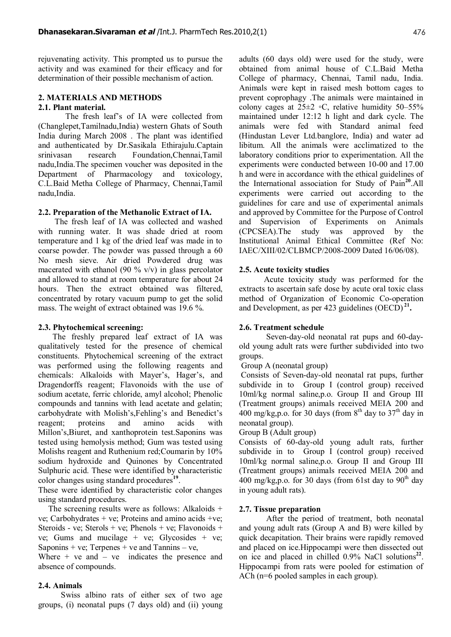rejuvenating activity. This prompted us to pursue the activity and was examined for their efficacy and for determination of their possible mechanism of action.

#### **2. MATERIALS AND METHODS 2.1. Plant material.**

The fresh leaf's of IA were collected from (Changlepet,Tamilnadu,India) western Ghats of South India during March 2008 . The plant was identified and authenticated by Dr.Sasikala Ethirajulu.Captain srinivasan research Foundation,Chennai,Tamil nadu,India.The specimen voucher was deposited in the Department of Pharmacology and toxicology, C.L.Baid Metha College of Pharmacy, Chennai,Tamil nadu,India.

#### **2.2. Preparation of the Methanolic Extract of IA.**

The fresh leaf of IA was collected and washed with running water. It was shade dried at room temperature and 1 kg of the dried leaf was made in to coarse powder. The powder was passed through a 60 No mesh sieve. Air dried Powdered drug was macerated with ethanol (90  $\%$  v/v) in glass percolator and allowed to stand at room temperature for about 24 hours. Then the extract obtained was filtered, concentrated by rotary vacuum pump to get the solid mass. The weight of extract obtained was 19.6 %.

# **2.3. Phytochemical screening:**

The freshly prepared leaf extract of IA was qualitatively tested for the presence of chemical constituents. Phytochemical screening of the extract was performed using the following reagents and chemicals: Alkaloids with Mayer's, Hager's, and Dragendorffs reagent; Flavonoids with the use of sodium acetate, ferric chloride, amyl alcohol; Phenolic compounds and tannins with lead acetate and gelatin; carbohydrate with Molish's,Fehling's and Benedict's reagent; proteins and amino acids with Millon's,Biuret, and xanthoprotein test.Saponins was tested using hemolysis method; Gum was tested using Molishs reagent and Ruthenium red;Coumarin by 10% sodium hydroxide and Quinones by Concentrated Sulphuric acid. These were identified by characteristic color changes using standard procedures**<sup>19</sup>** .

These were identified by characteristic color changes using standard procedures.

 The screening results were as follows: Alkaloids + ve; Carbohydrates + ve; Proteins and amino acids +ve; Steroids - ve; Sterols + ve; Phenols + ve; Flavonoids + ve; Gums and mucilage + ve; Glycosides + ve; Saponins + ve; Terpenes + ve and Tannins  $-$  ve,

Where  $+$  ve and  $-$  ve indicates the presence and absence of compounds.

# **2.4. Animals**

 Swiss albino rats of either sex of two age groups, (i) neonatal pups (7 days old) and (ii) young adults (60 days old) were used for the study, were obtained from animal house of C.L.Baid Metha College of pharmacy, Chennai, Tamil nadu, India. Animals were kept in raised mesh bottom cages to prevent coprophagy .The animals were maintained in colony cages at  $25\pm2$  ∘C, relative humidity 50–55% maintained under 12:12 h light and dark cycle. The animals were fed with Standard animal feed (Hindustan Lever Ltd.banglore, India) and water ad libitum. All the animals were acclimatized to the laboratory conditions prior to experimentation. All the experiments were conducted between 10-00 and 17.00 h and were in accordance with the ethical guidelines of the International association for Study of Pain**<sup>20</sup>**.All experiments were carried out according to the guidelines for care and use of experimental animals and approved by Committee for the Purpose of Control and Supervision of Experiments on Animals (CPCSEA).The study was approved by the Institutional Animal Ethical Committee (Ref No: IAEC/XIII/02/CLBMCP/2008-2009 Dated 16/06/08).

# **2.5. Acute toxicity studies**

 Acute toxicity study was performed for the extracts to ascertain safe dose by acute oral toxic class method of Organization of Economic Co-operation and Development, as per 423 guidelines (OECD)<sup>21</sup>.

# **2.6. Treatment schedule**

Seven-day-old neonatal rat pups and 60-dayold young adult rats were further subdivided into two groups.

#### Group A (neonatal group)

 Consists of Seven-day-old neonatal rat pups, further subdivide in to Group I (control group) received 10ml/kg normal saline,p.o. Group II and Group III (Treatment groups) animals received MEIA 200 and 400 mg/kg,p.o. for 30 days (from  $8<sup>th</sup>$  day to 37<sup>th</sup> day in neonatal group).

#### Group B (Adult group)

Consists of 60-day-old young adult rats, further subdivide in to Group I (control group) received 10ml/kg normal saline,p.o. Group II and Group III (Treatment groups) animals received MEIA 200 and 400 mg/kg,p.o. for 30 days (from 61st day to  $90<sup>th</sup>$  day in young adult rats).

# **2.7. Tissue preparation**

After the period of treatment, both neonatal and young adult rats (Group A and B) were killed by quick decapitation. Their brains were rapidly removed and placed on ice.Hippocampi were then dissected out on ice and placed in chilled 0.9% NaCl solutions<sup>22</sup>. Hippocampi from rats were pooled for estimation of ACh (n=6 pooled samples in each group).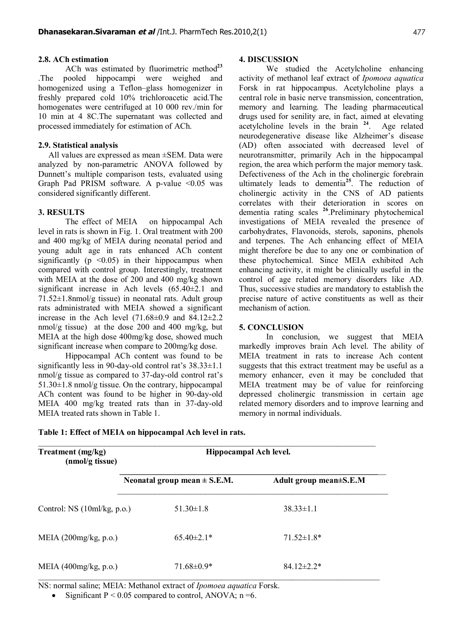#### **2.8. ACh estimation**

ACh was estimated by fluorimetric method**<sup>23</sup>** .The pooled hippocampi were weighed and homogenized using a Teflon–glass homogenizer in freshly prepared cold 10% trichloroacetic acid.The homogenates were centrifuged at 10 000 rev./min for 10 min at 4 8C.The supernatant was collected and processed immediately for estimation of ACh.

### **2.9. Statistical analysis**

 All values are expressed as mean ±SEM. Data were analyzed by non-parametric ANOVA followed by Dunnett's multiple comparison tests, evaluated using Graph Pad PRISM software. A p-value  $\leq 0.05$  was considered significantly different.

#### **3. RESULTS**

The effect of MEIA on hippocampal Ach level in rats is shown in Fig. 1. Oral treatment with 200 and 400 mg/kg of MEIA during neonatal period and young adult age in rats enhanced ACh content significantly ( $p \leq 0.05$ ) in their hippocampus when compared with control group. Interestingly, treatment with MEIA at the dose of 200 and 400 mg/kg shown significant increase in Ach levels (65.40±2.1 and 71.52±1.8nmol/g tissue) in neonatal rats. Adult group rats administrated with MEIA showed a significant increase in the Ach level  $(71.68\pm0.9 \text{ and } 84.12\pm2.2 \text{)}$ nmol/g tissue) at the dose 200 and 400 mg/kg, but MEIA at the high dose 400mg/kg dose, showed much significant increase when compare to 200mg/kg dose.

Hippocampal ACh content was found to be significantly less in 90-day-old control rat's  $38.33\pm1.1$ nmol/g tissue as compared to 37-day-old control rat's 51.30±1.8 nmol/g tissue. On the contrary, hippocampal ACh content was found to be higher in 90-day-old MEIA 400 mg/kg treated rats than in 37-day-old MEIA treated rats shown in Table 1.

#### **4. DISCUSSION**

We studied the Acetylcholine enhancing activity of methanol leaf extract of *Ipomoea aquatica* Forsk in rat hippocampus. Acetylcholine plays a central role in basic nerve transmission, concentration, memory and learning. The leading pharmaceutical drugs used for senility are, in fact, aimed at elevating acetylcholine levels in the brain **<sup>24</sup>**. Age related neurodegenerative disease like Alzheimer's disease (AD) often associated with decreased level of neurotransmitter, primarily Ach in the hippocampal region, the area which perform the major memory task. Defectiveness of the Ach in the cholinergic forebrain ultimately leads to dementia**<sup>25</sup>**. The reduction of cholinergic activity in the CNS of AD patients correlates with their deterioration in scores on dementia rating scales **<sup>26</sup>**.Preliminary phytochemical investigations of MEIA revealed the presence of carbohydrates, Flavonoids, sterols, saponins, phenols and terpenes. The Ach enhancing effect of MEIA might therefore be due to any one or combination of these phytochemical. Since MEIA exhibited Ach enhancing activity, it might be clinically useful in the control of age related memory disorders like AD. Thus, successive studies are mandatory to establish the precise nature of active constituents as well as their mechanism of action.

#### **5. CONCLUSION**

In conclusion, we suggest that MEIA markedly improves brain Ach level. The ability of MEIA treatment in rats to increase Ach content suggests that this extract treatment may be useful as a memory enhancer, even it may be concluded that MEIA treatment may be of value for reinforcing depressed cholinergic transmission in certain age related memory disorders and to improve learning and memory in normal individuals.

| Treatment (mg/kg)<br>(nmol/g tissue) | Hippocampal Ach level.           |  |                        |
|--------------------------------------|----------------------------------|--|------------------------|
|                                      | Neonatal group mean $\pm$ S.E.M. |  | Adult group mean±S.E.M |
| Control: $NS(10m/kg, p.o.)$          | $51.30 \pm 1.8$                  |  | $38.33 \pm 1.1$        |
| MEIA $(200$ mg/kg, p.o.)             | $65.40\pm2.1*$                   |  | $71.52 \pm 1.8*$       |
| MEIA $(400$ mg/kg, p.o.)             | $71.68\pm0.9*$                   |  | $8412 \pm 22$          |

**Table 1: Effect of MEIA on hippocampal Ach level in rats.**

NS: normal saline; MEIA: Methanol extract of *Ipomoea aquatica* Forsk.

Significant  $P \le 0.05$  compared to control, ANOVA;  $n = 6$ .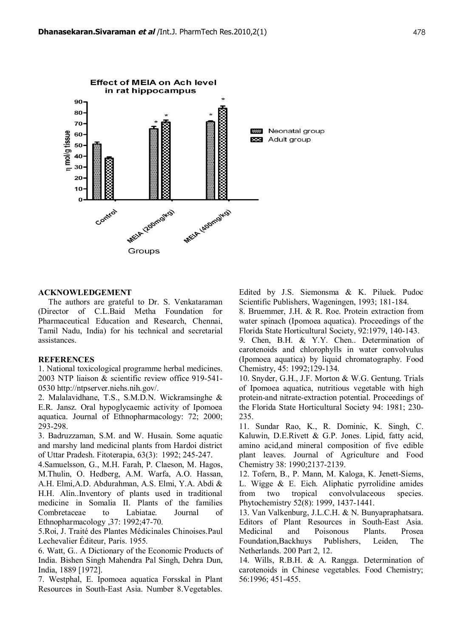

#### **ACKNOWLEDGEMENT**

 The authors are grateful to Dr. S. Venkataraman (Director of C.L.Baid Metha Foundation for Pharmaceutical Education and Research, Chennai, Tamil Nadu, India) for his technical and secretarial assistances.

# **REFERENCES**

1. National toxicological programme herbal medicines. 2003 NTP liaison & scientific review office 919-541- 0530<http://ntpserver.niehs.nih.gov/>.

2. Malalavidhane, T.S., S.M.D.N. Wickramsinghe & E.R. Jansz. Oral hypoglycaemic activity of Ipomoea aquatica. Journal of Ethnopharmacology: 72; 2000; 293-298.

3. Badruzzaman, S.M. and W. Husain. Some aquatic and marshy land medicinal plants from Hardoi district of Uttar Pradesh. Fitoterapia, 63(3): 1992; 245-247.

4.Samuelsson, G., M.H. Farah, P. Claeson, M. Hagos, M.Thulin, O. Hedberg, A.M. Warfa, A.O. Hassan, A.H. Elmi,A.D. Abdurahman, A.S. Elmi, Y.A. Abdi & H.H. Alin..Inventory of plants used in traditional medicine in Somalia II. Plants of the families Combretaceae to Labiatae. Journal of Ethnopharmacology ,37: 1992;47-70.

5.Roi, J. Traité des Plantes Médicinales Chinoises.Paul Lechevalier Éditeur, Paris. 1955.

6. Watt, G.. A Dictionary of the Economic Products of India. Bishen Singh Mahendra Pal Singh, Dehra Dun, India, 1889 [1972].

7. Westphal, E. Ipomoea aquatica Forsskal in Plant Resources in South-East Asia. Number 8.Vegetables.

Edited by J.S. Siemonsma & K. Piluek. Pudoc Scientific Publishers, Wageningen, 1993; 181-184.

8. Bruemmer, J.H. & R. Roe. Protein extraction from water spinach (Ipomoea aquatica). Proceedings of the Florida State Horticultural Society, 92:1979, 140-143.

9. Chen, B.H. & Y.Y. Chen.. Determination of carotenoids and chlorophylls in water convolvulus (Ipomoea aquatica) by liquid chromatography. Food Chemistry, 45: 1992;129-134.

10. Snyder, G.H., J.F. Morton & W.G. Gentung. Trials of Ipomoea aquatica, nutritious vegetable with high protein-and nitrate-extraction potential. Proceedings of the Florida State Horticultural Society 94: 1981; 230- 235.

11. Sundar Rao, K., R. Dominic, K. Singh, C. Kaluwin, D.E.Rivett & G.P. Jones. Lipid, fatty acid, amino acid,and mineral composition of five edible plant leaves. Journal of Agriculture and Food Chemistry 38: 1990;2137-2139.

12. Tofern, B., P. Mann, M. Kaloga, K. Jenett-Siems, L. Wigge & E. Eich. Aliphatic pyrrolidine amides from two tropical convolvulaceous species. Phytochemistry 52(8): 1999, 1437-1441.

13. Van Valkenburg, J.L.C.H. & N. Bunyapraphatsara. Editors of Plant Resources in South-East Asia. Medicinal and Poisonous Plants. Prosea Foundation,Backhuys Publishers, Leiden, The Netherlands. 200 Part 2, 12.

14. Wills, R.B.H. & A. Rangga. Determination of carotenoids in Chinese vegetables. Food Chemistry; 56:1996; 451-455.